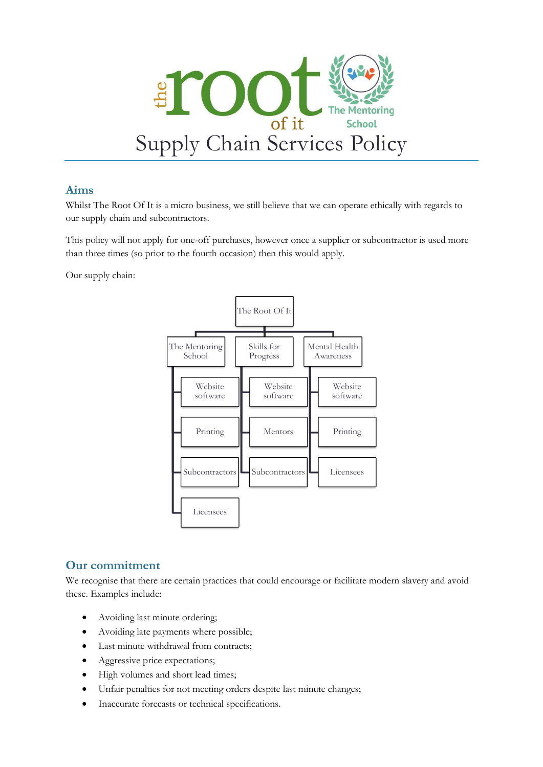

## **Aims**

Whilst The Root Of It is a micro business, we still believe that we can operate ethically with regards to our supply chain and subcontractors.

This policy will not apply for one-off purchases, however once a supplier or subcontractor is used more than three times (so prior to the fourth occasion) then this would apply.

Our supply chain:



## **Our commitment**

We recognise that there are certain practices that could encourage or facilitate modern slavery and avoid these. Examples include:

- Avoiding last minute ordering;
- Avoiding late payments where possible;
- Last minute withdrawal from contracts;
- Aggressive price expectations;
- High volumes and short lead times;
- Unfair penalties for not meeting orders despite last minute changes;
- Inaccurate forecasts or technical specifications.